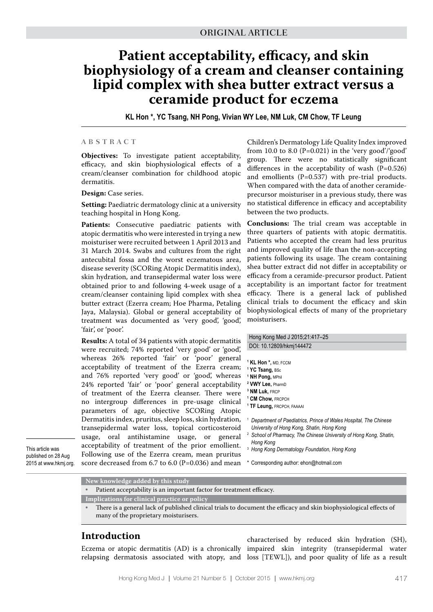# **Patient acceptability, efficacy, and skin biophysiology of a cream and cleanser containing lipid complex with shea butter extract versus a ceramide product for eczema**

**KL Hon \*, YC Tsang, NH Pong, Vivian WY Lee, NM Luk, CM Chow, TF Leung**

#### **A B S T R A C T**

**Objectives:** To investigate patient acceptability, efficacy, and skin biophysiological effects of a cream/cleanser combination for childhood atopic dermatitis.

**Design:** Case series.

**Setting:** Paediatric dermatology clinic at a university teaching hospital in Hong Kong.

**Patients:** Consecutive paediatric patients with atopic dermatitis who were interested in trying a new moisturiser were recruited between 1 April 2013 and 31 March 2014. Swabs and cultures from the right antecubital fossa and the worst eczematous area, disease severity (SCORing Atopic Dermatitis index), skin hydration, and transepidermal water loss were obtained prior to and following 4-week usage of a cream/cleanser containing lipid complex with shea butter extract (Ezerra cream; Hoe Pharma, Petaling Jaya, Malaysia). Global or general acceptability of treatment was documented as 'very good', 'good', 'fair', or 'poor'.

**Results:** A total of 34 patients with atopic dermatitis were recruited; 74% reported 'very good' or 'good', whereas 26% reported 'fair' or 'poor' general acceptability of treatment of the Ezerra cream; and 76% reported 'very good' or 'good', whereas 24% reported 'fair' or 'poor' general acceptability of treatment of the Ezerra cleanser. There were no intergroup differences in pre-usage clinical parameters of age, objective SCORing Atopic Dermatitis index, pruritus, sleep loss, skin hydration, transepidermal water loss, topical corticosteroid usage, oral antihistamine usage, or general acceptability of treatment of the prior emollient. Following use of the Ezerra cream, mean pruritus score decreased from 6.7 to 6.0 (P=0.036) and mean

This article was published on 28 Aug 2015 at www.hkmj.org. Children's Dermatology Life Quality Index improved from 10.0 to 8.0 ( $P=0.021$ ) in the 'very good'/'good' group. There were no statistically significant differences in the acceptability of wash  $(P=0.526)$ and emollients  $(P=0.537)$  with pre-trial products. When compared with the data of another ceramideprecursor moisturiser in a previous study, there was no statistical difference in efficacy and acceptability between the two products.

**Conclusions:** The trial cream was acceptable in three quarters of patients with atopic dermatitis. Patients who accepted the cream had less pruritus and improved quality of life than the non-accepting patients following its usage. The cream containing shea butter extract did not differ in acceptability or efficacy from a ceramide-precursor product. Patient acceptability is an important factor for treatment efficacy. There is a general lack of published clinical trials to document the efficacy and skin biophysiological effects of many of the proprietary moisturisers.

Hong Kong Med J 2015;21:417–25 DOI: 10.12809/hkmj144472

- **1 KL Hon \*,** MD, FCCM
- **1 YC Tsang,** BSc
- **1 NH Pong,** MPhil **2 VWY Lee,** PharmD
- **3 NM Luk,** FRCP
- **1 CM Chow,** FRCPCH
- **1 TF Leung,** FRCPCH, FAAAAI
- <sup>1</sup> *Department of Paediatrics, Prince of Wales Hospital, The Chinese University of Hong Kong, Shatin, Hong Kong*
- <sup>2</sup> *School of Pharmacy, The Chinese University of Hong Kong, Shatin, Hong Kong*
- <sup>3</sup> *Hong Kong Dermatology Foundation, Hong Kong*
- \* Corresponding author: ehon@hotmail.com

|  | New knowledge added by this study |  |  |
|--|-----------------------------------|--|--|
|  |                                   |  |  |

Patient acceptability is an important factor for treatment efficacy.

**Implications for clinical practice or policy**

• There is a general lack of published clinical trials to document the efficacy and skin biophysiological effects of many of the proprietary moisturisers.

#### **Introduction**

Eczema or atopic dermatitis (AD) is a chronically impaired skin integrity (transepidermal water relapsing dermatosis associated with atopy, and loss [TEWL]), and poor quality of life as a result characterised by reduced skin hydration (SH),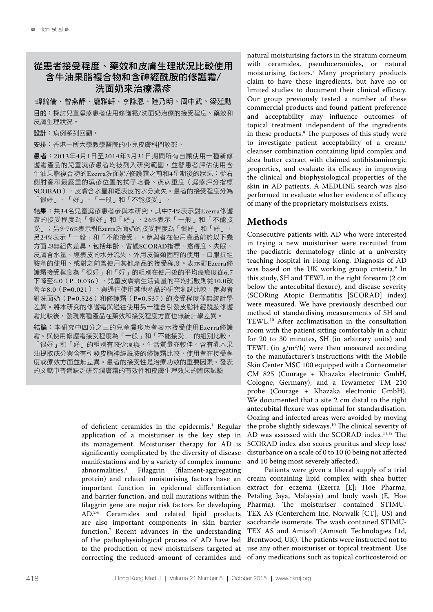# 從患者接受程度、藥效和皮膚生理狀況比較使用 含牛油果脂複合物和含神經酰胺的修護霜/ 洗面奶來治療濕疹

韓錦倫、曾燕靜、龐雅軒、李詠恩、陸乃明、周中武、梁廷勳 目的:探討兒童濕疹患者使用修護霜/洗面奶治療的接受程度、藥效和 皮膚生理狀況。

設計:病例系列回顧。

安排:香港一所大學教學醫院的小兒皮膚科門診部。

患者:2013年4月1日至2014年3月31日期間所有自願使用一種新修 護霜產品的兒童濕疹患者均被列入研究範圍,並替患者評估使用含 牛油果脂複合物的Ezerra洗面奶/修護霜之前和4星期後的狀況:從右 側肘窩和最嚴重的濕疹位置的拭子培養、疾病重度(濕疹評分指標 SCORAD)、皮膚含水量和經表皮的水分流失。患者的接受程度分為 「很好」、「好」、「一般」和「不能接受」。

結果:共34名兒童濕疹患者參與本研究,其中74%表示對Ezerra修護 霜的接受程度為「很好」和「好」,26%表示「一般」和「不能接 受」;另外76%表示對Ezerra洗面奶的接受程度為「很好」和「好」, 另24%表示「一般」和「不能接受」。參與者在使用產品前於以下幾 方面均無組內差異,包括年齡、客觀SCORAD指標、瘙癢度、失眠、 皮膚含水量、經表皮的水分流失、外用皮質類固醇的使用、口服抗組 胺劑的使用、或對之前曾使用其他產品的接受程度。表示對Ezerra修 護霜接受程度為「很好」和「好」的組別在使用後的平均瘙癢度從6.7 下降至6.0 (P=0.036), 兒童皮膚病生活質量的平均指數則從10.0改 善至8.0(P=0.021)。與過往使用其他產品的研究測試比較,參與者 對洗面奶(P=0.526)和修護霜(P=0.537)的接受程度並無統計學 差異。將本研究的修護霜與過往使用另一種含引發皮脂神經酰胺修護 霜比較後,發現兩種產品在藥效和接受程度方面也無統計學差異。

結論:本研究中四分之三的兒童濕疹患者表示接受使用Ezerra修護 霜。與使用修護霜接受程度為「一般」和「不能接受」 的組別比較, 「很好」和「好」的組別有較少瘙癢,生活質量亦較佳。含有乳木果 油提取成分與含有引發皮脂神經酰胺的修護霜比較,使用者在接受程 度或療效方面並無差異。患者的接受性是治療功效的重要因素。發表 的文獻中普遍缺乏研究潤膚霜的有效性和皮膚生理效果的臨床試驗。

> of deficient ceramides in the epidermis.<sup>1</sup> Regular application of a moisturiser is the key step in its management. Moisturiser therapy for AD is significantly complicated by the diversity of disease manifestations and by a variety of complex immune<br>abnormalities.<sup>1</sup> Filaggrin (filament-aggregating abnormalities.1 (filament-aggregating) protein) and related moisturising factors have an important function in epidermal differentiation and barrier function, and null mutations within the filaggrin gene are major risk factors for developing AD.2-6 Ceramides and related lipid products are also important components in skin barrier function.7 Recent advances in the understanding of the pathophysiological process of AD have led to the production of new moisturisers targeted at correcting the reduced amount of ceramides and

natural moisturising factors in the stratum corneum with ceramides, pseudoceramides, or natural moisturising factors.7 Many proprietary products claim to have these ingredients, but have no or limited studies to document their clinical efficacy. Our group previously tested a number of these commercial products and found patient preference and acceptability may influence outcomes of topical treatment independent of the ingredients in these products.8 The purposes of this study were to investigate patient acceptability of a cream/ cleanser combination containing lipid complex and shea butter extract with claimed antihistaminergic properties, and evaluate its efficacy in improving the clinical and biophysiological properties of the skin in AD patients. A MEDLINE search was also performed to evaluate whether evidence of efficacy of many of the proprietary moisturisers exists.

## **Methods**

Consecutive patients with AD who were interested in trying a new moisturiser were recruited from the paediatric dermatology clinic at a university teaching hospital in Hong Kong. Diagnosis of AD was based on the UK working group criteria.<sup>9</sup> In this study, SH and TEWL in the right forearm (2 cm below the antecubital flexure), and disease severity (SCORing Atopic Dermatitis [SCORAD] index) were measured. We have previously described our method of standardising measurements of SH and TEWL.10 After acclimatisation in the consultation room with the patient sitting comfortably in a chair for 20 to 30 minutes, SH (in arbitrary units) and TEWL (in  $g/m^2/h$ ) were then measured according to the manufacturer's instructions with the Mobile Skin Center MSC 100 equipped with a Corneometer CM 825 (Courage + Khazaka electronic GmbH, Cologne, Germany), and a Tewameter TM 210 probe (Courage + Khazaka electronic GmbH). We documented that a site 2 cm distal to the right antecubital flexure was optimal for standardisation. Oozing and infected areas were avoided by moving the probe slightly sideways.10 The clinical severity of AD was assessed with the SCORAD index.11,12 The SCORAD index also scores pruritus and sleep loss/ disturbance on a scale of 0 to 10 (0 being not affected and 10 being most severely affected).

Patients were given a liberal supply of a trial cream containing lipid complex with shea butter extract for eczema (Ezerra [E]; Hoe Pharma, Petaling Jaya, Malaysia) and body wash (E, Hoe Pharma). The moisturiser contained STIMU-TEX AS (Centerchem Inc, Norwalk [CT], US) and saccharide isomerate. The wash contained STIMU-TEX AS and Amisoft (Amisoft Technologies Ltd, Brentwood, UK). The patients were instructed not to use any other moisturiser or topical treatment. Use of any medications such as topical corticosteroid or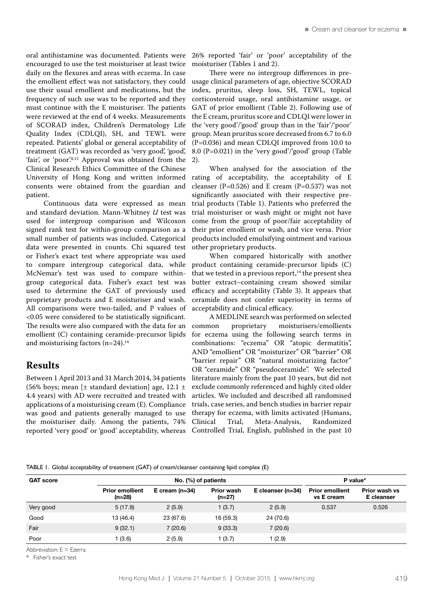oral antihistamine was documented. Patients were encouraged to use the test moisturiser at least twice daily on the flexures and areas with eczema. In case the emollient effect was not satisfactory, they could use their usual emollient and medications, but the frequency of such use was to be reported and they must continue with the E moisturiser. The patients were reviewed at the end of 4 weeks. Measurements of SCORAD index, Children's Dermatology Life Quality Index (CDLQI), SH, and TEWL were repeated. Patients' global or general acceptability of treatment (GAT) was recorded as 'very good', 'good', 'fair', or 'poor'.<sup>8,13</sup> Approval was obtained from the Clinical Research Ethics Committee of the Chinese University of Hong Kong and written informed consents were obtained from the guardian and patient.

Continuous data were expressed as mean and standard deviation. Mann-Whitney *U* test was used for intergroup comparison and Wilcoxon signed rank test for within-group comparison as a small number of patients was included. Categorical data were presented in counts. Chi squared test or Fisher's exact test where appropriate was used to compare intergroup categorical data, while McNemar's test was used to compare withingroup categorical data. Fisher's exact test was used to determine the GAT of previously used proprietary products and E moisturiser and wash. All comparisons were two-tailed, and P values of <0.05 were considered to be statistically significant. The results were also compared with the data for an emollient (C) containing ceramide-precursor lipids and moisturising factors  $(n=24).$ <sup>14</sup>

## **Results**

Between 1 April 2013 and 31 March 2014, 34 patients (56% boys; mean [ $\pm$  standard deviation] age, 12.1  $\pm$ 4.4 years) with AD were recruited and treated with applications of a moisturising cream (E). Compliance was good and patients generally managed to use the moisturiser daily. Among the patients, 74% reported 'very good' or 'good' acceptability, whereas 26% reported 'fair' or 'poor' acceptability of the moisturiser (Tables 1 and 2).

There were no intergroup differences in preusage clinical parameters of age, objective SCORAD index, pruritus, sleep loss, SH, TEWL, topical corticosteroid usage, oral antihistamine usage, or GAT of prior emollient (Table 2). Following use of the E cream, pruritus score and CDLQI were lower in the 'very good'/'good' group than in the 'fair'/'poor' group. Mean pruritus score decreased from 6.7 to 6.0 (P=0.036) and mean CDLQI improved from 10.0 to 8.0 (P=0.021) in the 'very good'/'good' group (Table 2).

When analysed for the association of the rating of acceptability, the acceptability of E cleanser (P=0.526) and E cream (P=0.537) was not significantly associated with their respective pretrial products (Table 1). Patients who preferred the trial moisturiser or wash might or might not have come from the group of poor/fair acceptability of their prior emollient or wash, and vice versa. Prior products included emulsifying ointment and various other proprietary products.

When compared historically with another product containing ceramide-precursor lipids (C) that we tested in a previous report, $14$  the present shea butter extract–containing cream showed similar efficacy and acceptability (Table 3). It appears that ceramide does not confer superiority in terms of acceptability and clinical efficacy.

A MEDLINE search was performed on selected common proprietary moisturisers/emollients for eczema using the following search terms in combinations: "eczema" OR "atopic dermatitis", AND "emollient" OR "moisturizer" OR "barrier" OR "barrier repair" OR "natural moisturizing factor" OR "ceramide" OR "pseudoceramide". We selected literature mainly from the past 10 years, but did not exclude commonly referenced and highly cited older articles. We included and described all randomised trials, case series, and bench studies in barrier repair therapy for eczema, with limits activated (Humans, Clinical Trial, Meta-Analysis, Randomized Controlled Trial, English, published in the past 10

TABLE 1. Global acceptability of treatment (GAT) of cream/cleanser containing lipid complex (E)

| <b>GAT score</b> |                                    | P value*         |                             |                       |                                      |                             |  |  |
|------------------|------------------------------------|------------------|-----------------------------|-----------------------|--------------------------------------|-----------------------------|--|--|
|                  | <b>Prior emollient</b><br>$(n=28)$ | E cream $(n=34)$ | <b>Prior wash</b><br>(n=27) | E cleanser ( $n=34$ ) | <b>Prior emollient</b><br>vs E cream | Prior wash vs<br>E cleanser |  |  |
| Very good        | 5(17.9)                            | 2(5.9)           | 1(3.7)                      | 2(5.9)                | 0.537                                | 0.526                       |  |  |
| Good             | 13 (46.4)                          | 23 (67.6)        | 16 (59.3)                   | 24 (70.6)             |                                      |                             |  |  |
| Fair             | 9(32.1)                            | 7(20.6)          | 9(33.3)                     | 7(20.6)               |                                      |                             |  |  |
| Poor             | (3.6)                              | 2(5.9)           | 1(3.7)                      | 1(2.9)                |                                      |                             |  |  |

Abbreviation: E = Ezerra

\* Fisher's exact test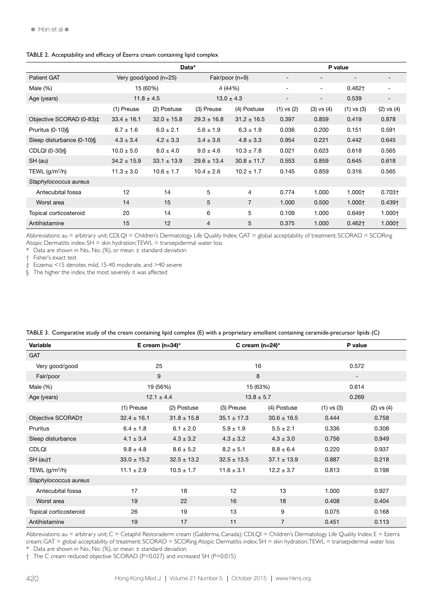|                                             | Data*           |                   |                 |                          | P value                  |                          |                          |                          |
|---------------------------------------------|-----------------|-------------------|-----------------|--------------------------|--------------------------|--------------------------|--------------------------|--------------------------|
| <b>Patient GAT</b><br>Very good/good (n=25) |                 | Fair/poor $(n=9)$ |                 | $\overline{\phantom{a}}$ | $\overline{\phantom{a}}$ |                          | $\overline{\phantom{a}}$ |                          |
| Male $(\%)$                                 | 15 (60%)        |                   |                 | 4 (44%)                  |                          | $\overline{\phantom{a}}$ | $0.462+$                 | ۰                        |
| Age (years)                                 | $11.8 \pm 4.5$  |                   | $13.0 \pm 4.3$  |                          | $\overline{\phantom{a}}$ | $\overline{\phantom{a}}$ | 0.539                    | $\overline{\phantom{a}}$ |
|                                             | (1) Preuse      | (2) Postuse       | (3) Preuse      | (4) Postuse              | $(1)$ vs $(2)$           | $(3)$ vs $(4)$           | $(1)$ vs $(3)$           | $(2)$ vs $(4)$           |
| Objective SCORAD (0-83)‡                    | $33.4 \pm 16.1$ | $32.0 \pm 15.8$   | $29.3 \pm 16.8$ | $31.2 \pm 16.5$          | 0.397                    | 0.859                    | 0.419                    | 0.878                    |
| Pruritus (0-10)§                            | $6.7 \pm 1.6$   | $6.0 \pm 2.1$     | $5.6 \pm 1.9$   | $6.3 \pm 1.9$            | 0.036                    | 0.200                    | 0.151                    | 0.591                    |
| Sleep disturbance (0-10)§                   | $4.3 \pm 3.4$   | $4.2 \pm 3.3$     | $3.4 \pm 3.6$   | $4.8 \pm 3.3$            | 0.954                    | 0.221                    | 0.442                    | 0.645                    |
| CDLQI (0-30)§                               | $10.0 \pm 5.0$  | $8.0 \pm 4.0$     | $9.0 \pm 4.6$   | $10.3 \pm 7.8$           | 0.021                    | 0.623                    | 0.618                    | 0.565                    |
| SH (au)                                     | $34.2 \pm 15.9$ | $33.1 \pm 13.9$   | $29.6 \pm 13.4$ | $30.8 \pm 11.7$          | 0.553                    | 0.859                    | 0.645                    | 0.618                    |
| TEWL $(g/m^2/h)$                            | $11.3 \pm 3.0$  | $10.6 \pm 1.7$    | $10.4 \pm 2.6$  | $10.2 \pm 1.7$           | 0.145                    | 0.859                    | 0.316                    | 0.565                    |
| Staphylococcus aureus                       |                 |                   |                 |                          |                          |                          |                          |                          |
| Antecubital fossa                           | 12              | 14                | 5               | 4                        | 0.774                    | 1.000                    | $1.000+$                 | $0.703+$                 |
| Worst area                                  | 14              | 15                | 5               | $\overline{7}$           | 1.000                    | 0.500                    | $1.000+$                 | $0.439+$                 |
| Topical corticosteroid                      | 20              | 14                | 6               | 5                        | 0.109                    | 1.000                    | $0.649+$                 | $1.000+$                 |
| Antihistamine                               | 15              | 12                | 4               | 5                        | 0.375                    | 1.000                    | $0.462+$                 | 1.000+                   |

#### TABLE 2. Acceptability and efficacy of Ezerra cream containing lipid complex

Abbreviations: au = arbitrary unit; CDLQI = Children's Dermatology Life Quality Index; GAT = global acceptability of treatment; SCORAD = SCORing Atopic Dermatitis index;  $SH =$  skin hydration;  $TEWL =$  transepidermal water loss

\* Data are shown in No., No. (%), or mean  $\pm$  standard deviation

† Fisher's exact test

‡ Eczema: <15 denotes mild, 15-40 moderate, and >40 severe

§ The higher the index, the most severely it was affected

| Variable               | E cream $(n=34)^*$ |                 | C cream $(n=24)^*$ |                 | P value        |                |  |
|------------------------|--------------------|-----------------|--------------------|-----------------|----------------|----------------|--|
| <b>GAT</b>             |                    |                 |                    |                 |                |                |  |
| Very good/good         |                    | 25              |                    | 16              |                | 0.572          |  |
| Fair/poor              | 9                  |                 |                    | 8               |                | -              |  |
| Male $(\%)$            | 19 (56%)           |                 |                    | 15 (63%)        |                | 0.614          |  |
| Age (years)            | $12.1 \pm 4.4$     |                 |                    | $13.8 \pm 5.7$  |                | 0.269          |  |
|                        | (1) Preuse         | (2) Postuse     | (3) Preuse         | (4) Postuse     | $(1)$ vs $(3)$ | $(2)$ vs $(4)$ |  |
| Objective SCORAD†      | $32.4 \pm 16.1$    | $31.8 \pm 15.8$ | $35.1 \pm 17.3$    | $30.6 \pm 16.5$ | 0.444          | 0.758          |  |
| Pruritus               | $6.4 \pm 1.8$      | $6.1 \pm 2.0$   | $5.9 \pm 1.9$      | $5.5 \pm 2.1$   | 0.336          | 0.308          |  |
| Sleep disturbance      | $4.1 \pm 3.4$      | $4.3 \pm 3.2$   | $4.3 \pm 3.2$      | $4.3 \pm 3.0$   | 0.756          | 0.949          |  |
| <b>CDLQI</b>           | $9.8 \pm 4.8$      | $8.6 \pm 5.2$   | $8.2 \pm 5.1$      | $8.8 \pm 6.4$   | 0.220          | 0.937          |  |
| SH (au) <sup>+</sup>   | $33.0 \pm 15.2$    | $32.5 \pm 13.2$ | $32.5 \pm 13.5$    | $37.1 \pm 13.9$ | 0.887          | 0.218          |  |
| TEWL $(g/m^2/h)$       | $11.1 \pm 2.9$     | $10.5 \pm 1.7$  | $11.6 \pm 3.1$     | $12.2 \pm 3.7$  | 0.813          | 0.198          |  |
| Staphylococcus aureus  |                    |                 |                    |                 |                |                |  |
| Antecubital fossa      | 17                 | 18              | 12                 | 13              | 1.000          | 0.927          |  |
| Worst area             | 19                 | 22              | 16                 | 18              | 0.408          | 0.404          |  |
| Topical corticosteroid | 26                 | 19              | 13                 | 9               | 0.075          | 0.168          |  |
| Antihistamine          | 19                 | 17              | 11                 | 7               | 0.451          | 0.113          |  |

TABLE 3. Comparative study of the cream containing lipid complex (E) with a proprietary emollient containing ceramide-precursor lipids (C)

Abbreviations: au = arbitrary unit; C = Cetaphil Restoraderm cream (Galderma, Canada); CDLQI = Children's Dermatology Life Quality Index; E = Ezerra cream; GAT = global acceptability of treatment; SCORAD = SCORing Atopic Dermatitis index; SH = skin hydration;TEWL = transepidermal water loss

 $*$  Data are shown in No., No. (%), or mean  $\pm$  standard deviation

† The C cream reduced objective SCORAD (P=0.027) and increased SH (P=0.015)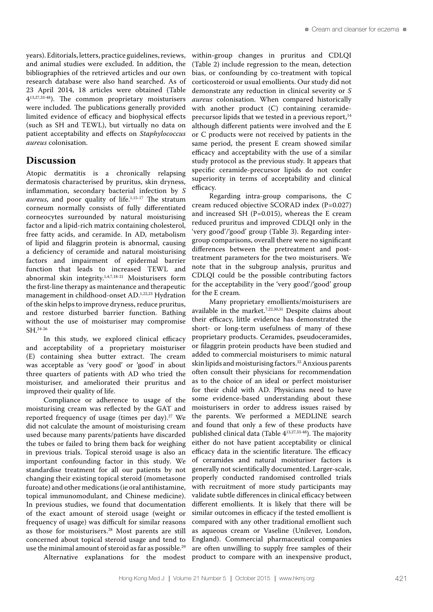years). Editorials, letters, practice guidelines, reviews, and animal studies were excluded. In addition, the bibliographies of the retrieved articles and our own research database were also hand searched. As of 23 April 2014, 18 articles were obtained (Table 413,27,33-48). The common proprietary moisturisers were included. The publications generally provided limited evidence of efficacy and biophysical effects (such as SH and TEWL), but virtually no data on patient acceptability and effects on *Staphylococcus aureus* colonisation.

#### **Discussion**

Atopic dermatitis is a chronically relapsing dermatosis characterised by pruritus, skin dryness, inflammation, secondary bacterial infection by *S aureus*, and poor quality of life.<sup>1,15-17</sup> The stratum corneum normally consists of fully differentiated corneocytes surrounded by natural moisturising factor and a lipid-rich matrix containing cholesterol, free fatty acids, and ceramide. In AD, metabolism of lipid and filaggrin protein is abnormal, causing a deficiency of ceramide and natural moisturising factors and impairment of epidermal barrier function that leads to increased TEWL and abnormal skin integrity.1,4,7,18-21 Moisturisers form the first-line therapy as maintenance and therapeutic management in childhood-onset AD.1,22,23 Hydration of the skin helps to improve dryness, reduce pruritus, and restore disturbed barrier function. Bathing without the use of moisturiser may compromise SH.24-26

In this study, we explored clinical efficacy and acceptability of a proprietary moisturiser (E) containing shea butter extract. The cream was acceptable as 'very good' or 'good' in about three quarters of patients with AD who tried the moisturiser, and ameliorated their pruritus and improved their quality of life.

Compliance or adherence to usage of the moisturising cream was reflected by the GAT and reported frequency of usage (times per day).<sup>27</sup> We did not calculate the amount of moisturising cream used because many parents/patients have discarded the tubes or failed to bring them back for weighing in previous trials. Topical steroid usage is also an important confounding factor in this study. We standardise treatment for all our patients by not changing their existing topical steroid (mometasone furoate) and other medications (ie oral antihistamine, topical immunomodulant, and Chinese medicine). In previous studies, we found that documentation of the exact amount of steroid usage (weight or frequency of usage) was difficult for similar reasons as those for moisturisers.28 Most parents are still concerned about topical steroid usage and tend to use the minimal amount of steroid as far as possible.29

Alternative explanations for the modest

within-group changes in pruritus and CDLQI (Table 2) include regression to the mean, detection bias, or confounding by co-treatment with topical corticosteroid or usual emollients. Our study did not demonstrate any reduction in clinical severity or *S aureus* colonisation. When compared historically with another product (C) containing ceramideprecursor lipids that we tested in a previous report,<sup>14</sup> although different patients were involved and the E or C products were not received by patients in the same period, the present E cream showed similar efficacy and acceptability with the use of a similar study protocol as the previous study. It appears that specific ceramide-precursor lipids do not confer superiority in terms of acceptability and clinical efficacy.

Regarding intra-group comparisons, the C cream reduced objective SCORAD index (P=0.027) and increased SH (P=0.015), whereas the E cream reduced pruritus and improved CDLQI only in the 'very good'/'good' group (Table 3). Regarding intergroup comparisons, overall there were no significant differences between the pretreatment and posttreatment parameters for the two moisturisers. We note that in the subgroup analysis, pruritus and CDLQI could be the possible contributing factors for the acceptability in the 'very good'/'good' group for the E cream.

Many proprietary emollients/moisturisers are available in the market.<sup>7,22,30,31</sup> Despite claims about their efficacy, little evidence has demonstrated the short- or long-term usefulness of many of these proprietary products. Ceramides, pseudoceramides, or filaggrin protein products have been studied and added to commercial moisturisers to mimic natural skin lipids and moisturising factors.<sup>32</sup> Anxious parents often consult their physicians for recommendation as to the choice of an ideal or perfect moisturiser for their child with AD. Physicians need to have some evidence-based understanding about these moisturisers in order to address issues raised by the parents. We performed a MEDLINE search and found that only a few of these products have published clinical data (Table 413,27,33-48). The majority either do not have patient acceptability or clinical efficacy data in the scientific literature. The efficacy of ceramides and natural moisturiser factors is generally not scientifically documented. Larger-scale, properly conducted randomised controlled trials with recruitment of more study participants may validate subtle differences in clinical efficacy between different emollients. It is likely that there will be similar outcomes in efficacy if the tested emollient is compared with any other traditional emollient such as aqueous cream or Vaseline (Unilever, London, England). Commercial pharmaceutical companies are often unwilling to supply free samples of their product to compare with an inexpensive product,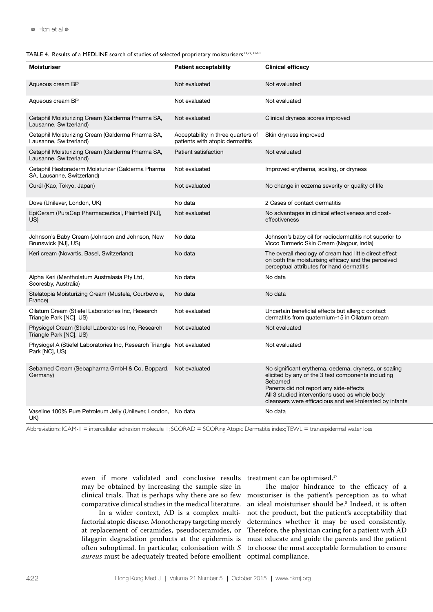#### TABLE 4. Results of a MEDLINE search of studies of selected proprietary moisturisers<sup>13,27,33-48</sup>

| Moisturiser                                                                              | <b>Patient acceptability</b>                                          | <b>Clinical efficacy</b>                                                                                                                                                                                                                                                       |
|------------------------------------------------------------------------------------------|-----------------------------------------------------------------------|--------------------------------------------------------------------------------------------------------------------------------------------------------------------------------------------------------------------------------------------------------------------------------|
| Aqueous cream BP                                                                         | Not evaluated                                                         | Not evaluated                                                                                                                                                                                                                                                                  |
| Aqueous cream BP                                                                         | Not evaluated                                                         | Not evaluated                                                                                                                                                                                                                                                                  |
| Cetaphil Moisturizing Cream (Galderma Pharma SA,<br>Lausanne, Switzerland)               | Not evaluated                                                         | Clinical dryness scores improved                                                                                                                                                                                                                                               |
| Cetaphil Moisturizing Cream (Galderma Pharma SA,<br>Lausanne, Switzerland)               | Acceptability in three quarters of<br>patients with atopic dermatitis | Skin dryness improved                                                                                                                                                                                                                                                          |
| Cetaphil Moisturizing Cream (Galderma Pharma SA,<br>Lausanne, Switzerland)               | Patient satisfaction                                                  | Not evaluated                                                                                                                                                                                                                                                                  |
| Cetaphil Restoraderm Moisturizer (Galderma Pharma<br>SA, Lausanne, Switzerland)          | Not evaluated                                                         | Improved erythema, scaling, or dryness                                                                                                                                                                                                                                         |
| Curél (Kao, Tokyo, Japan)                                                                | Not evaluated                                                         | No change in eczema severity or quality of life                                                                                                                                                                                                                                |
| Dove (Unilever, London, UK)                                                              | No data                                                               | 2 Cases of contact dermatitis                                                                                                                                                                                                                                                  |
| EpiCeram (PuraCap Pharmaceutical, Plainfield [NJ],<br>US)                                | Not evaluated                                                         | No advantages in clinical effectiveness and cost-<br>effectiveness                                                                                                                                                                                                             |
| Johnson's Baby Cream (Johnson and Johnson, New<br>Brunswick [NJ], US)                    | No data                                                               | Johnson's baby oil for radiodermatitis not superior to<br>Vicco Turmeric Skin Cream (Nagpur, India)                                                                                                                                                                            |
| Keri cream (Novartis, Basel, Switzerland)                                                | No data                                                               | The overall rheology of cream had little direct effect<br>on both the moisturising efficacy and the perceived<br>perceptual attributes for hand dermatitis                                                                                                                     |
| Alpha Keri (Mentholatum Australasia Pty Ltd,<br>Scoresby, Australia)                     | No data                                                               | No data                                                                                                                                                                                                                                                                        |
| Stelatopia Moisturizing Cream (Mustela, Courbevoie,<br>France)                           | No data                                                               | No data                                                                                                                                                                                                                                                                        |
| Oilatum Cream (Stiefel Laboratories Inc, Research<br>Triangle Park [NC], US)             | Not evaluated                                                         | Uncertain beneficial effects but allergic contact<br>dermatitis from quaternium-15 in Oilatum cream                                                                                                                                                                            |
| Physiogel Cream (Stiefel Laboratories Inc, Research<br>Triangle Park [NC], US)           | Not evaluated                                                         | Not evaluated                                                                                                                                                                                                                                                                  |
| Physiogel A (Stiefel Laboratories Inc, Research Triangle Not evaluated<br>Park [NC], US) |                                                                       | Not evaluated                                                                                                                                                                                                                                                                  |
| Sebamed Cream (Sebapharma GmbH & Co, Boppard, Not evaluated<br>Germany)                  |                                                                       | No significant erythema, oedema, dryness, or scaling<br>elicited by any of the 3 test components including<br>Sebamed<br>Parents did not report any side-effects<br>All 3 studied interventions used as whole body<br>cleansers were efficacious and well-tolerated by infants |
| Vaseline 100% Pure Petroleum Jelly (Unilever, London, No data<br>UK)                     |                                                                       | No data                                                                                                                                                                                                                                                                        |

Abbreviations: ICAM-1 = intercellular adhesion molecule 1; SCORAD = SCORing Atopic Dermatitis index;TEWL = transepidermal water loss

even if more validated and conclusive results treatment can be optimised.<sup>17</sup> may be obtained by increasing the sample size in clinical trials. That is perhaps why there are so few comparative clinical studies in the medical literature.

In a wider context, AD is a complex multifactorial atopic disease. Monotherapy targeting merely at replacement of ceramides, pseudoceramides, or *aureus* must be adequately treated before emollient optimal compliance.

filaggrin degradation products at the epidermis is must educate and guide the parents and the patient often suboptimal. In particular, colonisation with *S*  to choose the most acceptable formulation to ensure The major hindrance to the efficacy of a moisturiser is the patient's perception as to what an ideal moisturiser should be.8 Indeed, it is often not the product, but the patient's acceptability that determines whether it may be used consistently. Therefore, the physician caring for a patient with AD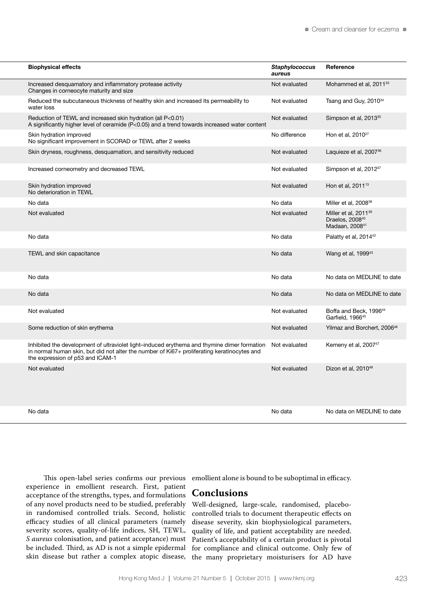| <b>Biophysical effects</b>                                                                                                                                                                                                                   | <b>Staphylococcus</b><br>aureus | Reference                                                                                     |
|----------------------------------------------------------------------------------------------------------------------------------------------------------------------------------------------------------------------------------------------|---------------------------------|-----------------------------------------------------------------------------------------------|
| Increased desquamatory and inflammatory protease activity<br>Changes in corneocyte maturity and size                                                                                                                                         | Not evaluated                   | Mohammed et al, 2011 <sup>33</sup>                                                            |
| Reduced the subcutaneous thickness of healthy skin and increased its permeability to<br>water loss                                                                                                                                           | Not evaluated                   | Tsang and Guy, 2010 <sup>34</sup>                                                             |
| Reduction of TEWL and increased skin hydration (all P<0.01)<br>A significantly higher level of ceramide $(P<0.05)$ and a trend towards increased water content                                                                               | Not evaluated                   | Simpson et al, 2013 <sup>35</sup>                                                             |
| Skin hydration improved<br>No significant improvement in SCORAD or TEWL after 2 weeks                                                                                                                                                        | No difference                   | Hon et al, 2010 <sup>27</sup>                                                                 |
| Skin dryness, roughness, desquamation, and sensitivity reduced                                                                                                                                                                               | Not evaluated                   | Laquieze et al, 2007 <sup>36</sup>                                                            |
| Increased corneometry and decreased TEWL                                                                                                                                                                                                     | Not evaluated                   | Simpson et al, 2012 <sup>37</sup>                                                             |
| Skin hydration improved<br>No deterioration in TEWL                                                                                                                                                                                          | Not evaluated                   | Hon et al, 2011 <sup>13</sup>                                                                 |
| No data                                                                                                                                                                                                                                      | No data                         | Miller et al, 200838                                                                          |
| Not evaluated                                                                                                                                                                                                                                | Not evaluated                   | Miller et al, 2011 <sup>39</sup><br>Draelos, 2008 <sup>40</sup><br>Madaan, 2008 <sup>41</sup> |
| No data                                                                                                                                                                                                                                      | No data                         | Palatty et al, 2014 <sup>42</sup>                                                             |
| TEWL and skin capacitance                                                                                                                                                                                                                    | No data                         | Wang et al, 1999 <sup>43</sup>                                                                |
| No data                                                                                                                                                                                                                                      | No data                         | No data on MEDLINE to date                                                                    |
| No data                                                                                                                                                                                                                                      | No data                         | No data on MEDLINE to date                                                                    |
| Not evaluated                                                                                                                                                                                                                                | Not evaluated                   | Boffa and Beck, 1996 <sup>44</sup><br>Garfield. 1966 <sup>45</sup>                            |
| Some reduction of skin erythema                                                                                                                                                                                                              | Not evaluated                   | Yilmaz and Borchert, 200646                                                                   |
| Inhibited the development of ultraviolet light-induced erythema and thymine dimer formation Not evaluated<br>in normal human skin, but did not alter the number of Ki67+ proliferating keratinocytes and<br>the expression of p53 and ICAM-1 |                                 | Kemeny et al, 2007 <sup>47</sup>                                                              |
| Not evaluated                                                                                                                                                                                                                                | Not evaluated                   | Dizon et al. 2010 <sup>48</sup>                                                               |
| No data                                                                                                                                                                                                                                      | No data                         | No data on MEDLINE to date                                                                    |

This open-label series confirms our previous emollient alone is bound to be suboptimal in efficacy. experience in emollient research. First, patient acceptance of the strengths, types, and formulations of any novel products need to be studied, preferably in randomised controlled trials. Second, holistic efficacy studies of all clinical parameters (namely severity scores, quality-of-life indices, SH, TEWL, *S aureus* colonisation, and patient acceptance) must be included. Third, as AD is not a simple epidermal skin disease but rather a complex atopic disease,

## **Conclusions**

Well-designed, large-scale, randomised, placebocontrolled trials to document therapeutic effects on disease severity, skin biophysiological parameters, quality of life, and patient acceptability are needed. Patient's acceptability of a certain product is pivotal for compliance and clinical outcome. Only few of the many proprietary moisturisers for AD have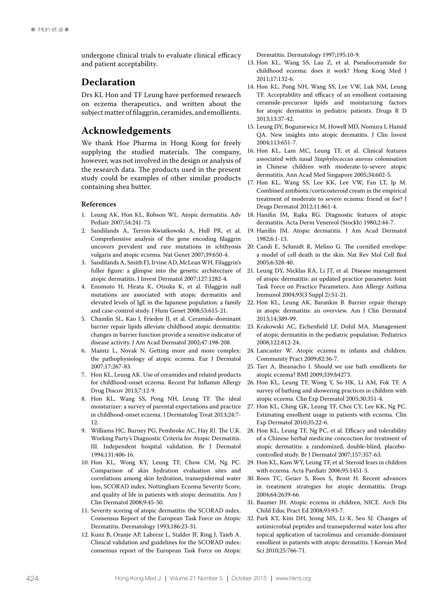undergone clinical trials to evaluate clinical efficacy and patient acceptability.

### **Declaration**

Drs KL Hon and TF Leung have performed research on eczema therapeutics, and written about the subject matter of filaggrin, ceramides, and emollients.

## **Acknowledgements**

We thank Hoe Pharma in Hong Kong for freely supplying the studied materials. The company, however, was not involved in the design or analysis of the research data. The products used in the present study could be examples of other similar products containing shea butter.

#### **References**

- 1. Leung AK, Hon KL, Robson WL. Atopic dermatitis. Adv Pediatr 2007;54:241-73.
- 2. Sandilands A, Terron-Kwiatkowski A, Hull PR, et al. Comprehensive analysis of the gene encoding filaggrin uncovers prevalent and rare mutations in ichthyosis vulgaris and atopic eczema. Nat Genet 2007;39:650-4.
- 3. Sandilands A, Smith FJ, Irvine AD, McLean WH. Filaggrin's fuller figure: a glimpse into the genetic architecture of atopic dermatitis. J Invest Dermatol 2007;127:1282-4.
- 4. Enomoto H, Hirata K, Otsuka K, et al. Filaggrin null mutations are associated with atopic dermatitis and elevated levels of IgE in the Japanese population: a family and case-control study. J Hum Genet 2008;53:615-21.
- 5. Chamlin SL, Kao J, Frieden IJ, et al. Ceramide-dominant barrier repair lipids alleviate childhood atopic dermatitis: changes in barrier function provide a sensitive indicator of disease activity. J Am Acad Dermatol 2002;47:198-208.
- 6. Maintz L, Novak N. Getting more and more complex: the pathophysiology of atopic eczema. Eur J Dermatol 2007;17:267-83.
- 7. Hon KL, Leung AK. Use of ceramides and related products for childhood-onset eczema. Recent Pat Inflamm Allergy Drug Discov 2013;7:12-9.
- 8. Hon KL, Wang SS, Pong NH, Leung TF. The ideal moisturizer: a survey of parental expectations and practice in childhood-onset eczema. J Dermatolog Treat 2013;24:7- 12.
- 9. Williams HC, Burney PG, Pembroke AC, Hay RJ. The U.K. Working Party's Diagnostic Criteria for Atopic Dermatitis. III. Independent hospital validation. Br J Dermatol 1994;131:406-16.
- 10. Hon KL, Wong KY, Leung TF, Chow CM, Ng PC. Comparison of skin hydration evaluation sites and correlations among skin hydration, transepidermal water loss, SCORAD index, Nottingham Eczema Severity Score, and quality of life in patients with atopic dermatitis. Am J Clin Dermatol 2008;9:45-50.
- 11. Severity scoring of atopic dermatitis: the SCORAD index. Consensus Report of the European Task Force on Atopic Dermatitis. Dermatology 1993;186:23-31.
- 12. Kunz B, Oranje AP, Labreze L, Stalder JF, Ring J, Taieb A. Clinical validation and guidelines for the SCORAD index: consensus report of the European Task Force on Atopic

Dermatitis. Dermatology 1997;195:10-9.

- 13. Hon KL, Wang SS, Lau Z, et al. Pseudoceramide for childhood eczema: does it work? Hong Kong Med J 2011;17:132-6.
- 14. Hon KL, Pong NH, Wang SS, Lee VW, Luk NM, Leung TF. Acceptability and efficacy of an emollient containing ceramide-precursor lipids and moisturizing factors for atopic dermatitis in pediatric patients. Drugs R D 2013;13:37-42.
- 15. Leung DY, Boguniewicz M, Howell MD, Nomura I, Hamid QA. New insights into atopic dermatitis. J Clin Invest 2004;113:651-7.
- 16. Hon KL, Lam MC, Leung TF, et al. Clinical features associated with nasal *Staphylococcus aureus* colonisation in Chinese children with moderate-to-severe atopic dermatitis. Ann Acad Med Singapore 2005;34:602-5.
- 17. Hon KL, Wang SS, Lee KK, Lee VW, Fan LT, Ip M. Combined antibiotic/corticosteroid cream in the empirical treatment of moderate to severe eczema: friend or foe? J Drugs Dermatol 2012;11:861-4.
- 18. Hanifin JM, Rajka RG. Diagnostic features of atopic dermatitis. Acta Derm Venereol (Stockh) 1980;2:44-7.
- 19. Hanifin JM. Atopic dermatitis. J Am Acad Dermatol 1982;6:1-13.
- 20. Candi E, Schmidt R, Melino G. The cornified envelope: a model of cell death in the skin. Nat Rev Mol Cell Biol 2005;6:328-40.
- 21. Leung DY, Nicklas RA, Li JT, et al. Disease management of atopic dermatitis: an updated practice parameter. Joint Task Force on Practice Parameters. Ann Allergy Asthma Immunol 2004;93(3 Suppl 2):S1-21.
- 22. Hon KL, Leung AK, Barankin B. Barrier repair therapy in atopic dermatitis: an overview. Am J Clin Dermatol 2013;14:389-99.
- 23. Krakowski AC, Eichenfield LF, Dohil MA. Management of atopic dermatitis in the pediatric population. Pediatrics 2008;122:812-24.
- 24. Lancaster W. Atopic eczema in infants and children. Community Pract 2009;82:36-7.
- 25. Tarr A, Iheanacho I. Should we use bath emollients for atopic eczema? BMJ 2009;339:b4273.
- 26. Hon KL, Leung TF, Wong Y, So HK, Li AM, Fok TF. A survey of bathing and showering practices in children with atopic eczema. Clin Exp Dermatol 2005;30:351-4.
- 27. Hon KL, Ching GK, Leung TF, Choi CY, Lee KK, Ng PC. Estimating emollient usage in patients with eczema. Clin Exp Dermatol 2010;35:22-6.
- 28. Hon KL, Leung TF, Ng PC, et al. Efficacy and tolerability of a Chinese herbal medicine concoction for treatment of atopic dermatitis: a randomized, double-blind, placebocontrolled study. Br J Dermatol 2007;157:357-63.
- 29. Hon KL, Kam WY, Leung TF, et al. Steroid fears in children with eczema. Acta Paediatr 2006;95:1451-5.
- 30. Roos TC, Geuer S, Roos S, Brost H. Recent advances in treatment strategies for atopic dermatitis. Drugs 2004;64:2639-66.
- 31. Baumer JH. Atopic eczema in children, NICE. Arch Dis Child Educ Pract Ed 2008;93:93-7.
- 32. Park KY, Kim DH, Jeong MS, Li K, Seo SJ. Changes of antimicrobial peptides and transepidermal water loss after topical application of tacrolimus and ceramide-dominant emollient in patients with atopic dermatitis. J Korean Med Sci 2010;25:766-71.